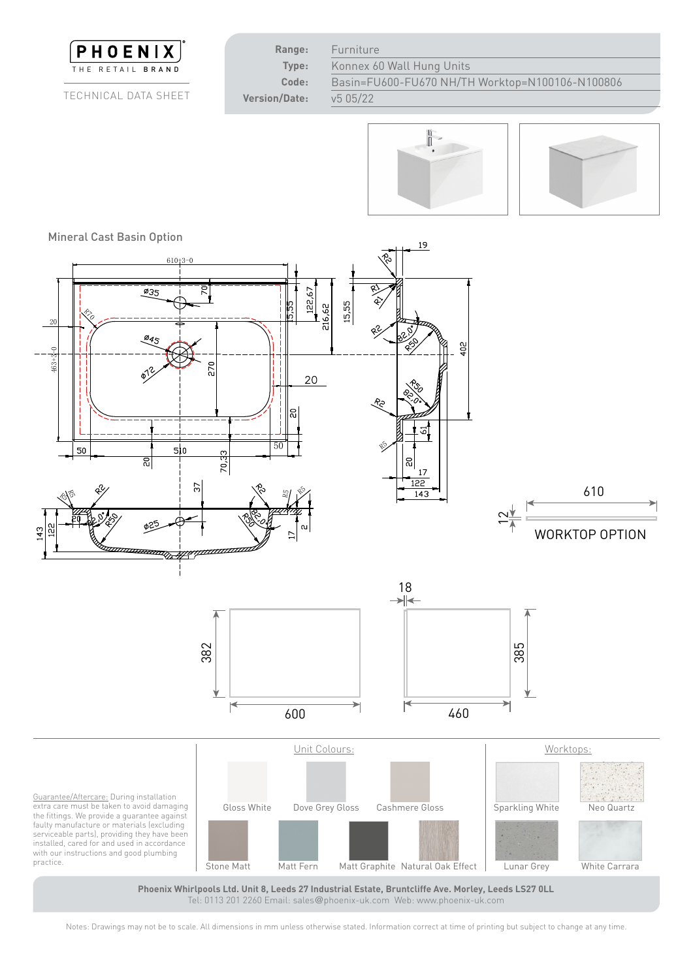

Tel: 0113 201 2260 Email: sales@phoenix-uk.com Web: www.phoenix-uk.com

Notes: Drawings may not be to scale. All dimensions in mm unless otherwise stated. Information correct at time of printing but subject to change at any time.